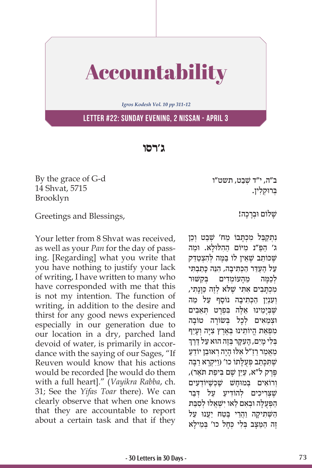

*Igros Kodesh Vol. 10 pp 311-12*

**Letter #22: Sunday Evening, 2 Nissan - April 3**

**ג'רסו**

By the grace of G-d 14 Shvat, 5715 Brooklyn

ב"ה, י"ד שִׁבט, תשט"ו ַבְּרוּקְלְין.

Greetings and Blessings,

Your letter from 8 Shvat was received, as well as your *Pan* for the day of passing. [Regarding] what you write that you have nothing to justify your lack of writing, I have written to many who have corresponded with me that this is not my intention. The function of writing, in addition to the desire and thirst for any good news experienced especially in our generation due to our location in a dry, parched land devoid of water, is primarily in accordance with the saying of our Sages, "If Reuven would know that his actions would be recorded [he would do them with a full heart]." (*Vayikra Rabba*, ch. 31; See the *Yifas Toar* there). We can clearly observe that when one knows that they are accountable to report about a certain task and that if they שַׁלוֹם וּבְרַכָה!

ַנתקבל מכתבוֹ מח' שׁבט וכן ַ ג' הפַּ ִ "נ מ ּי ַ וֹ ם ה ִה ּל ּוָל ּ א. וַמה שִׁכּוֹתֵב שֵׁאֵין לוֹ בַּמֵּה לְהָצְטַדֶּק ַעל הַעֲדֵר הכִּתיבה, הִנֵּה כּתבִתי לכמה מהעומדים בקשור מכתבים אתי שלא לזה כּוּנתי, וְעָנְיַן הַכְּתִיבָה נוֹסֵף עַל מַה שֶׁבְיָמֵינוּ אֵלֶה בִּפְרָט תְּאֵבִים וּצָמֵאים לָכל בִּשׂוֹרה טוֹבה מִפְּאַת הֱיוֹתֵינוּ בְּאֶרֶץ צִיָּה וְעָיֵף<br>בּלימים, העקר בּזה הוּא על דרד בְּלִי מַיִם, הַעָּקַר בְּזֶה הוּא עַל דֶּרֶךְ מַאַמר רז"ל אלוּ היה ראוִבן יוֹדע שֶׁתִּכְּתֵב פְּעֻלָּתוֹ כו' (וַיִּקְרָא רַבָּה פֶּרֶק ל"א, עֲיֵן שָׁם בִּיפַת תֹּאֵר), וְרוֹאים בַמוּחשׁ שֶׁכִּשֵׁ<sup>,</sup>וֹדְעִים שֵׁצַריכים לְהוֹדיע על דִבר ַהַפְּעֻלָּה וּבְאִם לַאו יִשְׁאֲלוּ לְסִבַּת הַשָּׁתִיקָה וַהֲרֵי בֵּטַח יַעֲנוּ עַל ַזֶה הַמַּצֵּב בְּלִי כִּחֲל כו' בִּמֵילַא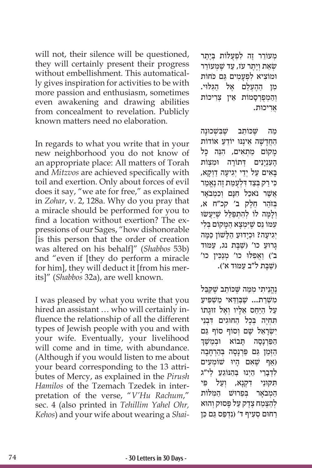will not, their silence will be questioned, they will certainly present their progress without embellishment. This automatically gives inspiration for activities to be with more passion and enthusiasm, sometimes even awakening and drawing abilities from concealment to revelation. Publicly known matters need no elaboration.

In regards to what you write that in your new neighborhood you do not know of an appropriate place: All matters of Torah and *Mitzvos* are achieved specifically with toil and exertion. Only about forces of evil does it say, "we ate for free," as explained in *Zohar*, v. 2, 128a. Why do you pray that a miracle should be performed for you to find a location without exertion? The expressions of our Sages, "how dishonorable [is this person that the order of creation was altered on his behalf]" (*Shabbos* 53b) and "even if [they do perform a miracle for him], they will deduct it [from his merits]" (*Shabbos* 32a), are well known.

I was pleased by what you write that you hired an assistant ... who will certainly influence the relationship of all the different types of Jewish people with you and with your wife. Eventually, your livelihood will come and in time, with abundance. (Although if you would listen to me about your beard corresponding to the 13 attributes of Mercy, as explained in the *Pirush Hamilos* of the Tzemach Tzedek in interpretation of the verse, "*V'Hu Rachum*," sec. 4 (also printed in *Tehillim Yahel Ohr, Kehos*) and your wife about wearing a *Shai-* מִעוֹרֵר זֵה לְפִעָלוֹת בְּיֶתֵר שׂאת ויתר עז, עד שמעורר ּו ִמוֹ צ ִ יא ל ְפָע ִמ ַּ ים גם כּ ֹחוֹ ת מִן הַהָעָלֵם אֵל הַגִּלּוּי. וְהמִפְרְסמוֹת אֵין צִריכוֹת ֲאִר ּ יכות.

ַמַה שֵׁכּוֹתֵב שֶׁבִּשָׁכוּנָה הַחֲדָשָׁה אֵינֵנּוּ יוֹדֵעַ אוֹדוֹת ַמַקוֹם מַתְאִים, הִנֶּה כַּל הַעָנְיַנִים דְתוֹרַה וּמַצְוֹת ָּבָאִים עַל יְדֵי יְגִיעָה דַוְקַא, ִכּ ַי ר ְּק בַצ ִ ּד דְלֻע ַּמ ֶת ז ֶה נֱאַמר ַאֲשֶׁר נֹאכַל חָנָם וְכִמְבֹאֲר ְּב ַזֹה ֵ ר חֶלק ב' קכ"ח א, וְלָמָה לוֹ לְהִתְפַּלֵּל שֶׁיַּעֲשׂוּ ִע ּמ ֵוֹ נס שֶׁ ּיִ ְמָצ ַא ה ָּמ ְּ קוֹ ם ב ִלי יְגִיעָה? וּכְיָדוּעַ הַלָּשׁוֹן כַּמָּה ָגָרוּעַ כו' (שַׁבָּת נג, עַמּוּד ב') וַאֲפִלוּ כו' מְנַכִּין כו' )שַׁ ָּב ַ ת ל"ב ע ּמּוד א'(.

ּנֶהֵנֵיתי מִמַּה שֵׁכּוֹתֵב שֵׁקִבֶּל מִשְׁרַת... שֶׁבְּוַדָּאי מַשִּׁפִּיעַ עַל הַיַּחַס אֵלְיו וְאֶל זוּגָתוֹ תְחָיָה בְּכָל הַחוּגִים דְּבְנֵי יִשְׂרָאֵל שָׁם וְסוֹף סוֹף גַּם<br>הַפַּרְנַסַה - תַּבוֹא - וּבְמֵשֵׁךְ וּבמשַׁדִּ הַזְּמַן גַּם פַּרְנַסָה בְּהַרְחַבָה ַ)אף שֶׁ ִא ָ ם ה ּיו ְ שׁ וֹ מ ִעים לִדְבַרי היְנוּ בַּהוּוֹגֵע לִי"ג תִּקוּנֵי דְקִנַא, וְעַל פִּי המבאר בִפֵרוּשׁ המלות לְהַצֵּמַח צֶדֶק עַל פְּסוּק וְהוּא ַרְחוּם סְעָיף ד' (נִדְפַּס גַּם כֵּן